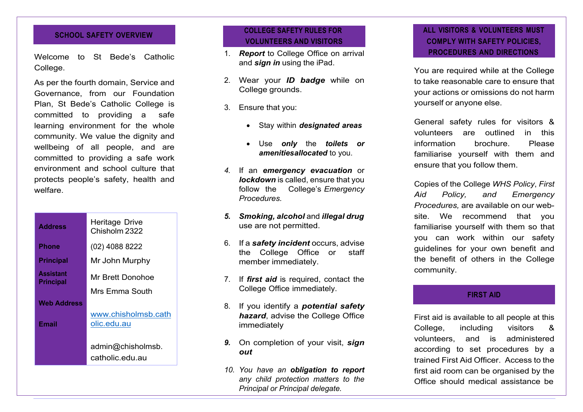Welcome to St Bede's Catholic College.

As per the fourth domain, Service and Governance, from our Foundation Plan, St Bede's Catholic College is committed to providing a safe learning environment for the whole community. We value the dignity and wellbeing of all people, and are committed to providing a safe work environment and school culture that protects people's safety, health and welfare.

| <b>Address</b>                | Heritage Drive<br>Chisholm 2322    |
|-------------------------------|------------------------------------|
| Phone                         | (02) 4088 8222                     |
| <b>Principal</b>              | Mr John Murphy                     |
| <b>Assistant</b><br>Principal | Mr Brett Donohoe                   |
|                               | Mrs Emma South                     |
| <b>Web Address</b>            |                                    |
| Email                         | www.chisholmsb.cath<br>olic.edu.au |
|                               | admin@chisholmsb.                  |
|                               | catholic edu au                    |

## **SCHOOL SAFETY OVERVIEW COLLEGE SAFETY RULES FOR VOLUNTEERS AND VISITORS**

- 1. *Report* to College Office on arrival and *sign in* using the iPad.
- 2. Wear your *ID badge* while on College grounds.
- 3. Ensure that you:
	- Stay within *designated areas*
	- Use *only* the *toilets or amenitiesallocated* to you.
- *4.* If an *emergency evacuation* or *lockdown* is called, ensure that you follow the College's *Emergency Procedures.*
- *5. Smoking, alcohol* and *illegal drug* use are not permitted.
- 6. If a *safety incident* occurs, advise the College Office or staff member immediately.
- 7. If *first aid* is required, contact the College Office immediately.
- 8. If you identify a *potential safety hazard*, advise the College Office immediately
- *9.* On completion of your visit, *sign out*
- *10. You have an obligation to report any child protection matters to the Principal or Principal delegate.*

# **ALL VISITORS & VOLUNTEERS MUST COMPLY WITH SAFETY POLICIES, PROCEDURES AND DIRECTIONS**

You are required while at the College to take reasonable care to ensure that your actions or omissions do not harm yourself or anyone else.

General safety rules for visitors & volunteers are outlined in this information brochure. Please familiarise yourself with them and ensure that you follow them.

Copies of the College *WHS Policy* , *First Aid Policy, and Emergency Procedures,* are available on our web site. We recommend that you familiarise yourself with them so that you can work within our safety guidelines for your own benefit and the benefit of others in the College community.

### **FIRST AID**

First aid is available to all people at this College, including visitors & volunteers, and is administered according to set procedures by a trained First Aid Officer. Access to the first aid room can be organised by the Office should medical assistance be